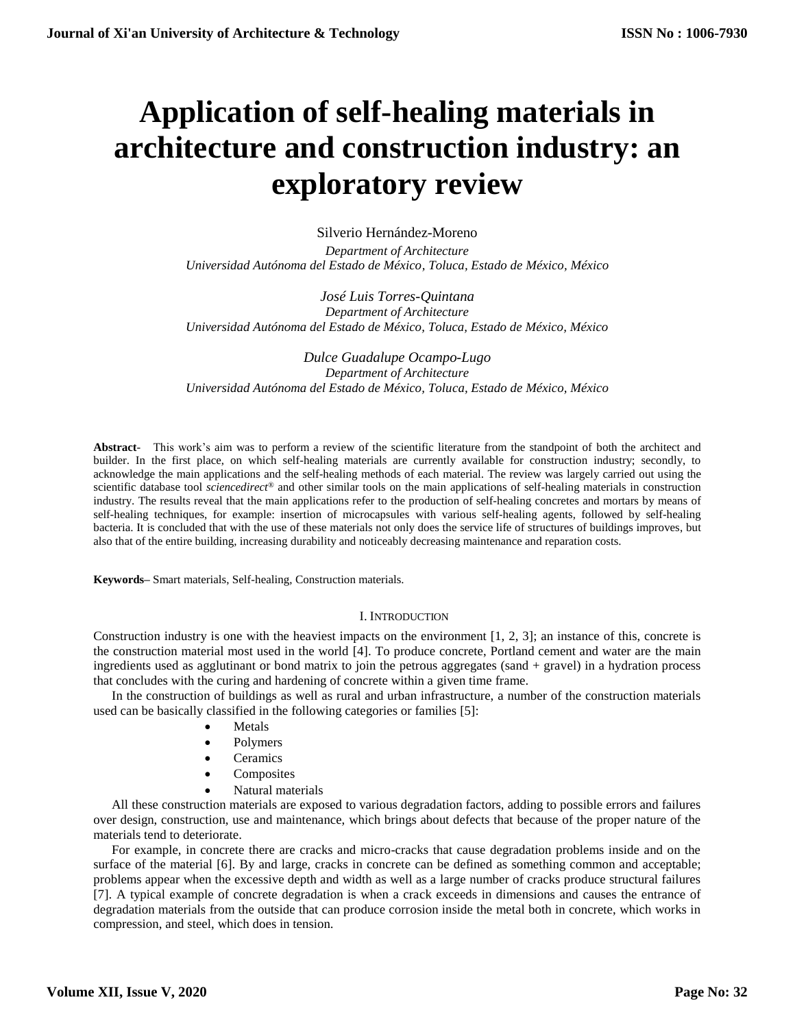# **Application of self-healing materials in architecture and construction industry: an exploratory review**

Silverio Hernández-Moreno

*Department of Architecture Universidad Autónoma del Estado de México, Toluca, Estado de México, México*

*José Luis Torres-Quintana Department of Architecture Universidad Autónoma del Estado de México, Toluca, Estado de México, México*

*Dulce Guadalupe Ocampo-Lugo Department of Architecture Universidad Autónoma del Estado de México, Toluca, Estado de México, México*

**Abstract**- This work's aim was to perform a review of the scientific literature from the standpoint of both the architect and builder. In the first place, on which self-healing materials are currently available for construction industry; secondly, to acknowledge the main applications and the self-healing methods of each material. The review was largely carried out using the scientific database tool *sciencedirect®* and other similar tools on the main applications of self-healing materials in construction industry. The results reveal that the main applications refer to the production of self-healing concretes and mortars by means of self-healing techniques, for example: insertion of microcapsules with various self-healing agents, followed by self-healing bacteria. It is concluded that with the use of these materials not only does the service life of structures of buildings improves, but also that of the entire building, increasing durability and noticeably decreasing maintenance and reparation costs.

**Keywords–** Smart materials, Self-healing, Construction materials.

#### I. INTRODUCTION

Construction industry is one with the heaviest impacts on the environment [1, 2, 3]; an instance of this, concrete is the construction material most used in the world [4]. To produce concrete, Portland cement and water are the main ingredients used as agglutinant or bond matrix to join the petrous aggregates (sand + gravel) in a hydration process that concludes with the curing and hardening of concrete within a given time frame.

In the construction of buildings as well as rural and urban infrastructure, a number of the construction materials used can be basically classified in the following categories or families [5]:

- Metals
- Polymers
- **Ceramics**
- Composites
- Natural materials

All these construction materials are exposed to various degradation factors, adding to possible errors and failures over design, construction, use and maintenance, which brings about defects that because of the proper nature of the materials tend to deteriorate.

For example, in concrete there are cracks and micro-cracks that cause degradation problems inside and on the surface of the material [6]. By and large, cracks in concrete can be defined as something common and acceptable; problems appear when the excessive depth and width as well as a large number of cracks produce structural failures [7]. A typical example of concrete degradation is when a crack exceeds in dimensions and causes the entrance of degradation materials from the outside that can produce corrosion inside the metal both in concrete, which works in compression, and steel, which does in tension.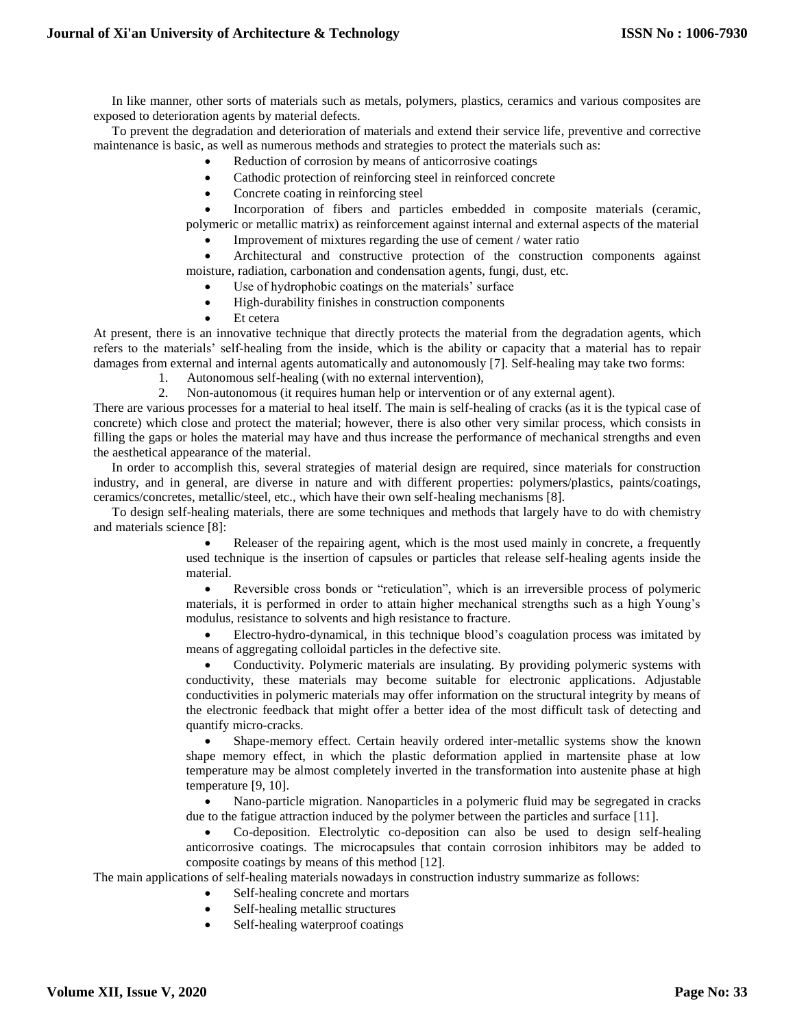In like manner, other sorts of materials such as metals, polymers, plastics, ceramics and various composites are exposed to deterioration agents by material defects.

To prevent the degradation and deterioration of materials and extend their service life, preventive and corrective maintenance is basic, as well as numerous methods and strategies to protect the materials such as:

- Reduction of corrosion by means of anticorrosive coatings
- Cathodic protection of reinforcing steel in reinforced concrete
- Concrete coating in reinforcing steel

 Incorporation of fibers and particles embedded in composite materials (ceramic, polymeric or metallic matrix) as reinforcement against internal and external aspects of the material

Improvement of mixtures regarding the use of cement / water ratio

 Architectural and constructive protection of the construction components against moisture, radiation, carbonation and condensation agents, fungi, dust, etc.

- Use of hydrophobic coatings on the materials' surface
- High-durability finishes in construction components
- Et cetera

At present, there is an innovative technique that directly protects the material from the degradation agents, which refers to the materials' self-healing from the inside, which is the ability or capacity that a material has to repair damages from external and internal agents automatically and autonomously [7]. Self-healing may take two forms:

- 1. Autonomous self-healing (with no external intervention),
- 2. Non-autonomous (it requires human help or intervention or of any external agent).

There are various processes for a material to heal itself. The main is self-healing of cracks (as it is the typical case of concrete) which close and protect the material; however, there is also other very similar process, which consists in filling the gaps or holes the material may have and thus increase the performance of mechanical strengths and even the aesthetical appearance of the material.

In order to accomplish this, several strategies of material design are required, since materials for construction industry, and in general, are diverse in nature and with different properties: polymers/plastics, paints/coatings, ceramics/concretes, metallic/steel, etc., which have their own self-healing mechanisms [8].

To design self-healing materials, there are some techniques and methods that largely have to do with chemistry and materials science [8]:

> Releaser of the repairing agent, which is the most used mainly in concrete, a frequently used technique is the insertion of capsules or particles that release self-healing agents inside the material.

> Reversible cross bonds or "reticulation", which is an irreversible process of polymeric materials, it is performed in order to attain higher mechanical strengths such as a high Young's modulus, resistance to solvents and high resistance to fracture.

> Electro-hydro-dynamical, in this technique blood's coagulation process was imitated by means of aggregating colloidal particles in the defective site.

> • Conductivity. Polymeric materials are insulating. By providing polymeric systems with conductivity, these materials may become suitable for electronic applications. Adjustable conductivities in polymeric materials may offer information on the structural integrity by means of the electronic feedback that might offer a better idea of the most difficult task of detecting and quantify micro-cracks.

> Shape-memory effect. Certain heavily ordered inter-metallic systems show the known shape memory effect, in which the plastic deformation applied in martensite phase at low temperature may be almost completely inverted in the transformation into austenite phase at high temperature [9, 10].

> Nano-particle migration. Nanoparticles in a polymeric fluid may be segregated in cracks due to the fatigue attraction induced by the polymer between the particles and surface [11].

 Co-deposition. Electrolytic co-deposition can also be used to design self-healing anticorrosive coatings. The microcapsules that contain corrosion inhibitors may be added to composite coatings by means of this method [12].

The main applications of self-healing materials nowadays in construction industry summarize as follows:

- Self-healing concrete and mortars
- Self-healing metallic structures
- Self-healing waterproof coatings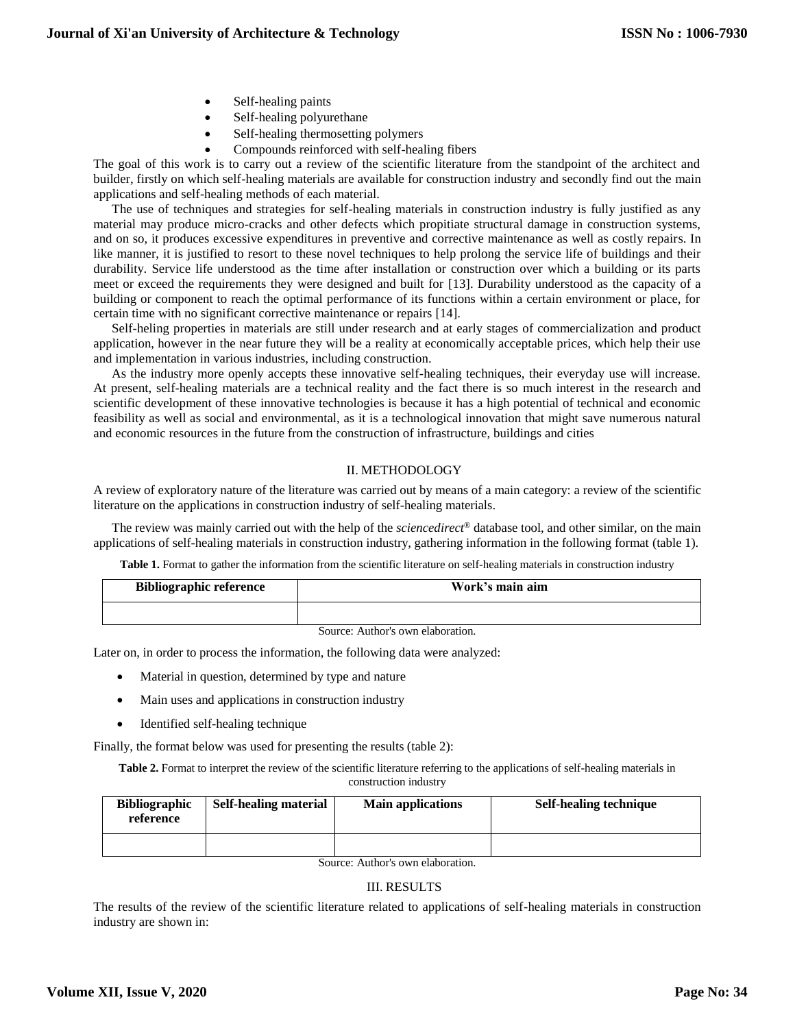- Self-healing paints
- Self-healing polyurethane
- Self-healing thermosetting polymers
	- Compounds reinforced with self-healing fibers

The goal of this work is to carry out a review of the scientific literature from the standpoint of the architect and builder, firstly on which self-healing materials are available for construction industry and secondly find out the main applications and self-healing methods of each material.

The use of techniques and strategies for self-healing materials in construction industry is fully justified as any material may produce micro-cracks and other defects which propitiate structural damage in construction systems, and on so, it produces excessive expenditures in preventive and corrective maintenance as well as costly repairs. In like manner, it is justified to resort to these novel techniques to help prolong the service life of buildings and their durability. Service life understood as the time after installation or construction over which a building or its parts meet or exceed the requirements they were designed and built for [13]. Durability understood as the capacity of a building or component to reach the optimal performance of its functions within a certain environment or place, for certain time with no significant corrective maintenance or repairs [14].

Self-heling properties in materials are still under research and at early stages of commercialization and product application, however in the near future they will be a reality at economically acceptable prices, which help their use and implementation in various industries, including construction.

As the industry more openly accepts these innovative self-healing techniques, their everyday use will increase. At present, self-healing materials are a technical reality and the fact there is so much interest in the research and scientific development of these innovative technologies is because it has a high potential of technical and economic feasibility as well as social and environmental, as it is a technological innovation that might save numerous natural and economic resources in the future from the construction of infrastructure, buildings and cities

### II. METHODOLOGY

A review of exploratory nature of the literature was carried out by means of a main category: a review of the scientific literature on the applications in construction industry of self-healing materials.

The review was mainly carried out with the help of the *sciencedirect®* database tool, and other similar, on the main applications of self-healing materials in construction industry, gathering information in the following format (table 1).

**Table 1.** Format to gather the information from the scientific literature on self-healing materials in construction industry

| <b>Bibliographic reference</b> | Work's main aim |  |
|--------------------------------|-----------------|--|
|                                |                 |  |

Source: Author's own elaboration.

Later on, in order to process the information, the following data were analyzed:

- Material in question, determined by type and nature
- Main uses and applications in construction industry
- Identified self-healing technique

Finally, the format below was used for presenting the results (table 2):

**Table 2.** Format to interpret the review of the scientific literature referring to the applications of self-healing materials in construction industry

| <b>Bibliographic</b><br>reference | <b>Self-healing material</b> | <b>Main applications</b> | <b>Self-healing technique</b> |
|-----------------------------------|------------------------------|--------------------------|-------------------------------|
|                                   |                              |                          |                               |
| Course Author's own alghoration   |                              |                          |                               |

Source: Author's own elaboration.

# III. RESULTS

The results of the review of the scientific literature related to applications of self-healing materials in construction industry are shown in: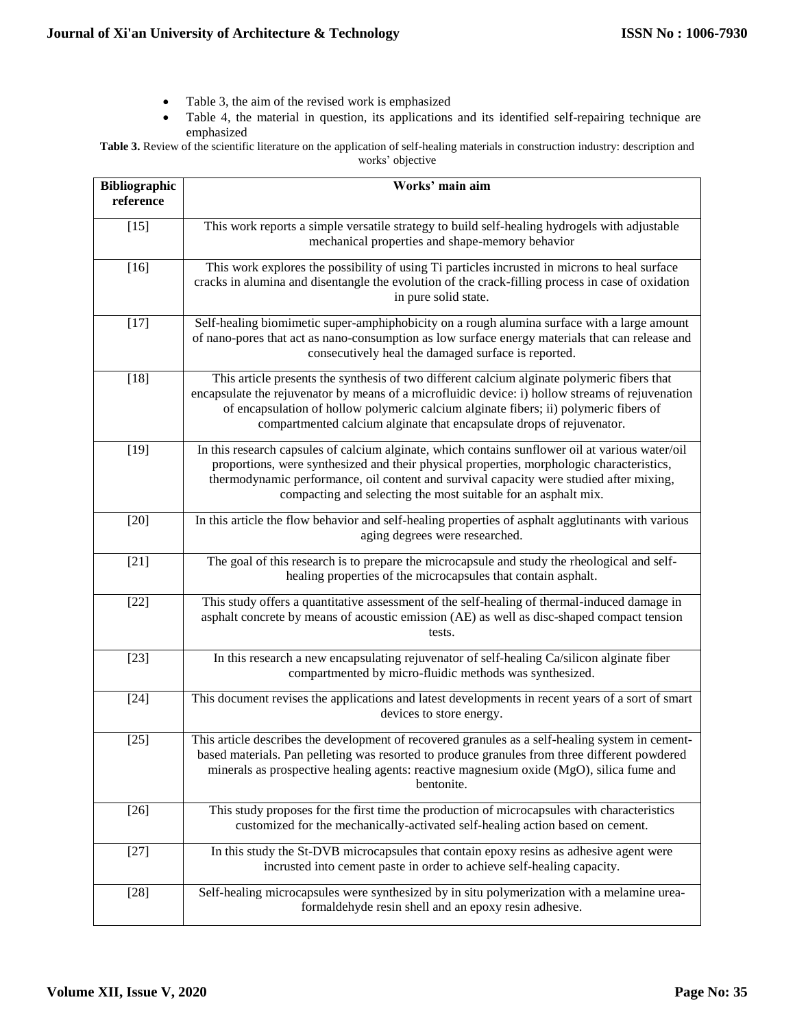- Table 3, the aim of the revised work is emphasized
- Table 4, the material in question, its applications and its identified self-repairing technique are emphasized
- **Table 3.** Review of the scientific literature on the application of self-healing materials in construction industry: description and works' objective

| <b>Bibliographic</b><br>reference | Works' main aim                                                                                                                                                                                                                                                                                                                                                   |
|-----------------------------------|-------------------------------------------------------------------------------------------------------------------------------------------------------------------------------------------------------------------------------------------------------------------------------------------------------------------------------------------------------------------|
| $[15]$                            | This work reports a simple versatile strategy to build self-healing hydrogels with adjustable<br>mechanical properties and shape-memory behavior                                                                                                                                                                                                                  |
| $[16]$                            | This work explores the possibility of using Ti particles incrusted in microns to heal surface<br>cracks in alumina and disentangle the evolution of the crack-filling process in case of oxidation<br>in pure solid state.                                                                                                                                        |
| $[17]$                            | Self-healing biomimetic super-amphiphobicity on a rough alumina surface with a large amount<br>of nano-pores that act as nano-consumption as low surface energy materials that can release and<br>consecutively heal the damaged surface is reported.                                                                                                             |
| $[18]$                            | This article presents the synthesis of two different calcium alginate polymeric fibers that<br>encapsulate the rejuvenator by means of a microfluidic device: i) hollow streams of rejuvenation<br>of encapsulation of hollow polymeric calcium alginate fibers; ii) polymeric fibers of<br>compartmented calcium alginate that encapsulate drops of rejuvenator. |
| $[19]$                            | In this research capsules of calcium alginate, which contains sunflower oil at various water/oil<br>proportions, were synthesized and their physical properties, morphologic characteristics,<br>thermodynamic performance, oil content and survival capacity were studied after mixing,<br>compacting and selecting the most suitable for an asphalt mix.        |
| $[20]$                            | In this article the flow behavior and self-healing properties of asphalt agglutinants with various<br>aging degrees were researched.                                                                                                                                                                                                                              |
| $[21]$                            | The goal of this research is to prepare the microcapsule and study the rheological and self-<br>healing properties of the microcapsules that contain asphalt.                                                                                                                                                                                                     |
| $[22]$                            | This study offers a quantitative assessment of the self-healing of thermal-induced damage in<br>asphalt concrete by means of acoustic emission (AE) as well as disc-shaped compact tension<br>tests.                                                                                                                                                              |
| $[23]$                            | In this research a new encapsulating rejuvenator of self-healing Ca/silicon alginate fiber<br>compartmented by micro-fluidic methods was synthesized.                                                                                                                                                                                                             |
| $[24]$                            | This document revises the applications and latest developments in recent years of a sort of smart<br>devices to store energy.                                                                                                                                                                                                                                     |
| $[25]$                            | This article describes the development of recovered granules as a self-healing system in cement-<br>based materials. Pan pelleting was resorted to produce granules from three different powdered<br>minerals as prospective healing agents: reactive magnesium oxide (MgO), silica fume and<br>bentonite.                                                        |
| $[26]$                            | This study proposes for the first time the production of microcapsules with characteristics<br>customized for the mechanically-activated self-healing action based on cement.                                                                                                                                                                                     |
| $[27]$                            | In this study the St-DVB microcapsules that contain epoxy resins as adhesive agent were<br>incrusted into cement paste in order to achieve self-healing capacity.                                                                                                                                                                                                 |
| $[28]$                            | Self-healing microcapsules were synthesized by in situ polymerization with a melamine urea-<br>formaldehyde resin shell and an epoxy resin adhesive.                                                                                                                                                                                                              |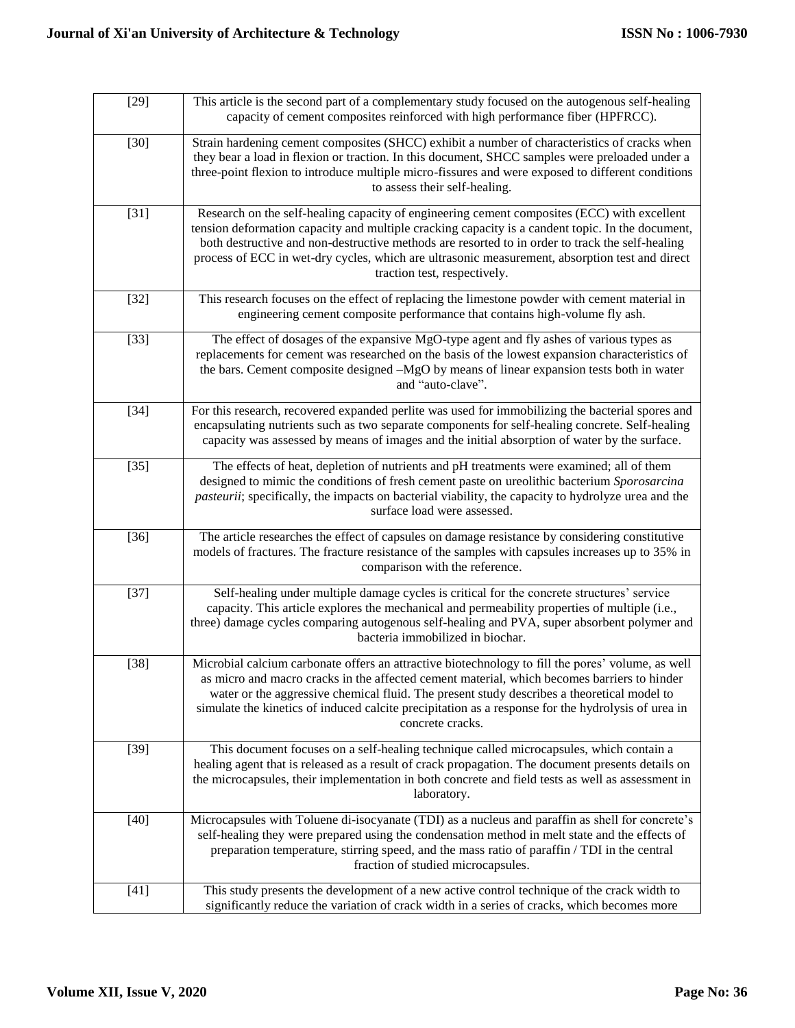| $[29]$ | This article is the second part of a complementary study focused on the autogenous self-healing<br>capacity of cement composites reinforced with high performance fiber (HPFRCC).                                                                                                                                                                                                                                                    |  |  |
|--------|--------------------------------------------------------------------------------------------------------------------------------------------------------------------------------------------------------------------------------------------------------------------------------------------------------------------------------------------------------------------------------------------------------------------------------------|--|--|
| $[30]$ | Strain hardening cement composites (SHCC) exhibit a number of characteristics of cracks when<br>they bear a load in flexion or traction. In this document, SHCC samples were preloaded under a<br>three-point flexion to introduce multiple micro-fissures and were exposed to different conditions<br>to assess their self-healing.                                                                                                 |  |  |
| $[31]$ | Research on the self-healing capacity of engineering cement composites (ECC) with excellent<br>tension deformation capacity and multiple cracking capacity is a candent topic. In the document,<br>both destructive and non-destructive methods are resorted to in order to track the self-healing<br>process of ECC in wet-dry cycles, which are ultrasonic measurement, absorption test and direct<br>traction test, respectively. |  |  |
| $[32]$ | This research focuses on the effect of replacing the limestone powder with cement material in<br>engineering cement composite performance that contains high-volume fly ash.                                                                                                                                                                                                                                                         |  |  |
| $[33]$ | The effect of dosages of the expansive MgO-type agent and fly ashes of various types as<br>replacements for cement was researched on the basis of the lowest expansion characteristics of<br>the bars. Cement composite designed -MgO by means of linear expansion tests both in water<br>and "auto-clave".                                                                                                                          |  |  |
| $[34]$ | For this research, recovered expanded perlite was used for immobilizing the bacterial spores and<br>encapsulating nutrients such as two separate components for self-healing concrete. Self-healing<br>capacity was assessed by means of images and the initial absorption of water by the surface.                                                                                                                                  |  |  |
| $[35]$ | The effects of heat, depletion of nutrients and pH treatments were examined; all of them<br>designed to mimic the conditions of fresh cement paste on ureolithic bacterium Sporosarcina<br>pasteurii; specifically, the impacts on bacterial viability, the capacity to hydrolyze urea and the<br>surface load were assessed.                                                                                                        |  |  |
| $[36]$ | The article researches the effect of capsules on damage resistance by considering constitutive<br>models of fractures. The fracture resistance of the samples with capsules increases up to 35% in<br>comparison with the reference.                                                                                                                                                                                                 |  |  |
| $[37]$ | Self-healing under multiple damage cycles is critical for the concrete structures' service<br>capacity. This article explores the mechanical and permeability properties of multiple (i.e.,<br>three) damage cycles comparing autogenous self-healing and PVA, super absorbent polymer and<br>bacteria immobilized in biochar.                                                                                                       |  |  |
| $[38]$ | Microbial calcium carbonate offers an attractive biotechnology to fill the pores' volume, as well<br>as micro and macro cracks in the affected cement material, which becomes barriers to hinder<br>water or the aggressive chemical fluid. The present study describes a theoretical model to<br>simulate the kinetics of induced calcite precipitation as a response for the hydrolysis of urea in<br>concrete cracks.             |  |  |
| $[39]$ | This document focuses on a self-healing technique called microcapsules, which contain a<br>healing agent that is released as a result of crack propagation. The document presents details on<br>the microcapsules, their implementation in both concrete and field tests as well as assessment in<br>laboratory.                                                                                                                     |  |  |
| $[40]$ | Microcapsules with Toluene di-isocyanate (TDI) as a nucleus and paraffin as shell for concrete's<br>self-healing they were prepared using the condensation method in melt state and the effects of<br>preparation temperature, stirring speed, and the mass ratio of paraffin / TDI in the central<br>fraction of studied microcapsules.                                                                                             |  |  |
| $[41]$ | This study presents the development of a new active control technique of the crack width to<br>significantly reduce the variation of crack width in a series of cracks, which becomes more                                                                                                                                                                                                                                           |  |  |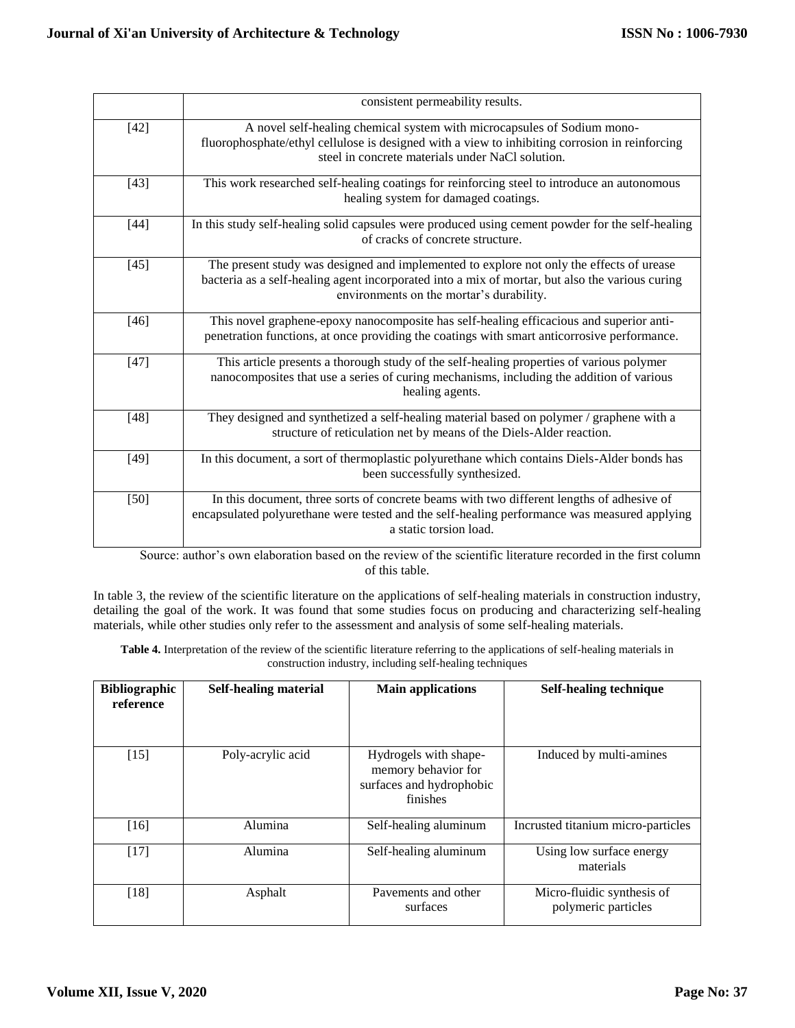|        | consistent permeability results.                                                                                                                                                                                                        |  |  |
|--------|-----------------------------------------------------------------------------------------------------------------------------------------------------------------------------------------------------------------------------------------|--|--|
| $[42]$ | A novel self-healing chemical system with microcapsules of Sodium mono-<br>fluorophosphate/ethyl cellulose is designed with a view to inhibiting corrosion in reinforcing<br>steel in concrete materials under NaCl solution.           |  |  |
| $[43]$ | This work researched self-healing coatings for reinforcing steel to introduce an autonomous<br>healing system for damaged coatings.                                                                                                     |  |  |
| $[44]$ | In this study self-healing solid capsules were produced using cement powder for the self-healing<br>of cracks of concrete structure.                                                                                                    |  |  |
| $[45]$ | The present study was designed and implemented to explore not only the effects of urease<br>bacteria as a self-healing agent incorporated into a mix of mortar, but also the various curing<br>environments on the mortar's durability. |  |  |
| $[46]$ | This novel graphene-epoxy nanocomposite has self-healing efficacious and superior anti-<br>penetration functions, at once providing the coatings with smart anticorrosive performance.                                                  |  |  |
| $[47]$ | This article presents a thorough study of the self-healing properties of various polymer<br>nanocomposites that use a series of curing mechanisms, including the addition of various<br>healing agents.                                 |  |  |
| $[48]$ | They designed and synthetized a self-healing material based on polymer / graphene with a<br>structure of reticulation net by means of the Diels-Alder reaction.                                                                         |  |  |
| $[49]$ | In this document, a sort of thermoplastic polyurethane which contains Diels-Alder bonds has<br>been successfully synthesized.                                                                                                           |  |  |
| $[50]$ | In this document, three sorts of concrete beams with two different lengths of adhesive of<br>encapsulated polyurethane were tested and the self-healing performance was measured applying<br>a static torsion load.                     |  |  |

Source: author's own elaboration based on the review of the scientific literature recorded in the first column of this table.

In table 3, the review of the scientific literature on the applications of self-healing materials in construction industry, detailing the goal of the work. It was found that some studies focus on producing and characterizing self-healing materials, while other studies only refer to the assessment and analysis of some self-healing materials.

**Table 4.** Interpretation of the review of the scientific literature referring to the applications of self-healing materials in construction industry, including self-healing techniques

| <b>Bibliographic</b><br>reference | <b>Self-healing material</b> | <b>Main applications</b>                                                             | Self-healing technique                            |
|-----------------------------------|------------------------------|--------------------------------------------------------------------------------------|---------------------------------------------------|
| $[15]$                            | Poly-acrylic acid            | Hydrogels with shape-<br>memory behavior for<br>surfaces and hydrophobic<br>finishes | Induced by multi-amines                           |
| $[16]$                            | Alumina                      | Self-healing aluminum                                                                | Incrusted titanium micro-particles                |
| [17]                              | Alumina                      | Self-healing aluminum                                                                | Using low surface energy<br>materials             |
| [18]                              | Asphalt                      | Payements and other<br>surfaces                                                      | Micro-fluidic synthesis of<br>polymeric particles |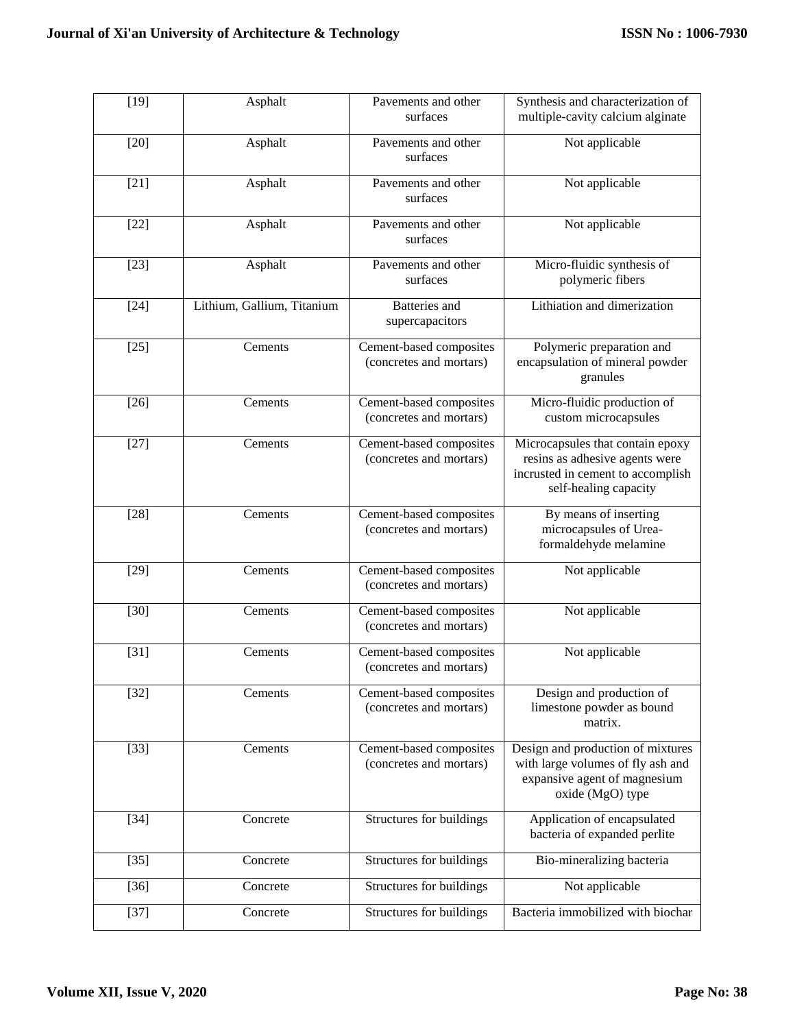| $[19]$ | Asphalt                    | Pavements and other<br>surfaces                    | Synthesis and characterization of<br>multiple-cavity calcium alginate                                                            |
|--------|----------------------------|----------------------------------------------------|----------------------------------------------------------------------------------------------------------------------------------|
| $[20]$ | Asphalt                    | Pavements and other<br>surfaces                    | Not applicable                                                                                                                   |
| $[21]$ | Asphalt                    | Pavements and other<br>surfaces                    | Not applicable                                                                                                                   |
| $[22]$ | Asphalt                    | Pavements and other<br>surfaces                    | Not applicable                                                                                                                   |
| $[23]$ | Asphalt                    | Pavements and other<br>surfaces                    | Micro-fluidic synthesis of<br>polymeric fibers                                                                                   |
| $[24]$ | Lithium, Gallium, Titanium | <b>Batteries</b> and<br>supercapacitors            | Lithiation and dimerization                                                                                                      |
| $[25]$ | Cements                    | Cement-based composites<br>(concretes and mortars) | Polymeric preparation and<br>encapsulation of mineral powder<br>granules                                                         |
| $[26]$ | Cements                    | Cement-based composites<br>(concretes and mortars) | Micro-fluidic production of<br>custom microcapsules                                                                              |
| $[27]$ | Cements                    | Cement-based composites<br>(concretes and mortars) | Microcapsules that contain epoxy<br>resins as adhesive agents were<br>incrusted in cement to accomplish<br>self-healing capacity |
| $[28]$ | Cements                    | Cement-based composites<br>(concretes and mortars) | By means of inserting<br>microcapsules of Urea-<br>formaldehyde melamine                                                         |
| $[29]$ | Cements                    | Cement-based composites<br>(concretes and mortars) | Not applicable                                                                                                                   |
| $[30]$ | Cements                    | Cement-based composites<br>(concretes and mortars) | Not applicable                                                                                                                   |
| $[31]$ | Cements                    | Cement-based composites<br>(concretes and mortars) | Not applicable                                                                                                                   |
| $[32]$ | Cements                    | Cement-based composites<br>(concretes and mortars) | Design and production of<br>limestone powder as bound<br>matrix.                                                                 |
| $[33]$ | Cements                    | Cement-based composites<br>(concretes and mortars) | Design and production of mixtures<br>with large volumes of fly ash and<br>expansive agent of magnesium<br>oxide (MgO) type       |
| $[34]$ | Concrete                   | Structures for buildings                           | Application of encapsulated<br>bacteria of expanded perlite                                                                      |
| $[35]$ | Concrete                   | Structures for buildings                           | Bio-mineralizing bacteria                                                                                                        |
| $[36]$ | Concrete                   | Structures for buildings                           | Not applicable                                                                                                                   |
| $[37]$ | Concrete                   | Structures for buildings                           | Bacteria immobilized with biochar                                                                                                |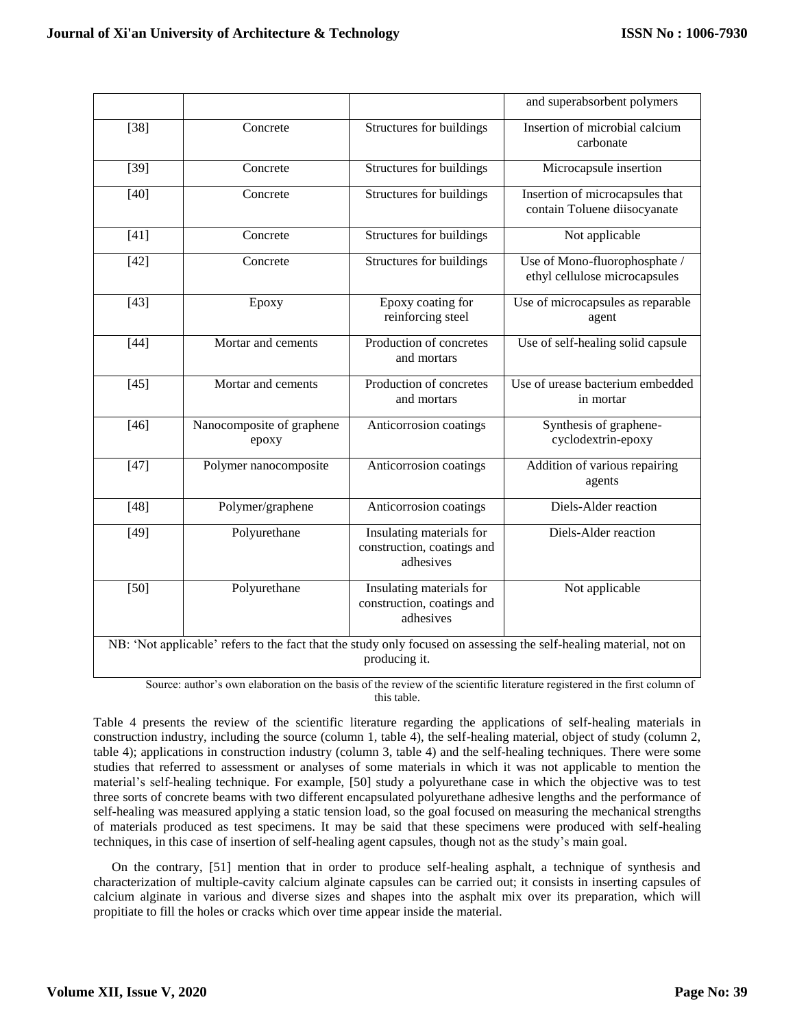|        |                                    |                                                                     | and superabsorbent polymers                                                                                        |
|--------|------------------------------------|---------------------------------------------------------------------|--------------------------------------------------------------------------------------------------------------------|
| $[38]$ | Concrete                           | Structures for buildings                                            | Insertion of microbial calcium<br>carbonate                                                                        |
| $[39]$ | Concrete                           | Structures for buildings                                            | Microcapsule insertion                                                                                             |
| $[40]$ | Concrete                           | Structures for buildings                                            | Insertion of microcapsules that<br>contain Toluene diisocyanate                                                    |
| $[41]$ | Concrete                           | Structures for buildings                                            | Not applicable                                                                                                     |
| $[42]$ | Concrete                           | Structures for buildings                                            | Use of Mono-fluorophosphate /<br>ethyl cellulose microcapsules                                                     |
| $[43]$ | Epoxy                              | Epoxy coating for<br>reinforcing steel                              | Use of microcapsules as reparable<br>agent                                                                         |
| $[44]$ | Mortar and cements                 | Production of concretes<br>and mortars                              | Use of self-healing solid capsule                                                                                  |
| $[45]$ | Mortar and cements                 | Production of concretes<br>and mortars                              | Use of urease bacterium embedded<br>in mortar                                                                      |
| $[46]$ | Nanocomposite of graphene<br>epoxy | Anticorrosion coatings                                              | Synthesis of graphene-<br>cyclodextrin-epoxy                                                                       |
| $[47]$ | Polymer nanocomposite              | Anticorrosion coatings                                              | Addition of various repairing<br>agents                                                                            |
| $[48]$ | Polymer/graphene                   | Anticorrosion coatings                                              | Diels-Alder reaction                                                                                               |
| $[49]$ | Polyurethane                       | Insulating materials for<br>construction, coatings and<br>adhesives | Diels-Alder reaction                                                                                               |
| $[50]$ | Polyurethane                       | Insulating materials for<br>construction, coatings and<br>adhesives | Not applicable                                                                                                     |
|        |                                    | producing it.                                                       | NB: 'Not applicable' refers to the fact that the study only focused on assessing the self-healing material, not on |

Source: author's own elaboration on the basis of the review of the scientific literature registered in the first column of this table.

Table 4 presents the review of the scientific literature regarding the applications of self-healing materials in construction industry, including the source (column 1, table 4), the self-healing material, object of study (column 2, table 4); applications in construction industry (column 3, table 4) and the self-healing techniques. There were some studies that referred to assessment or analyses of some materials in which it was not applicable to mention the material's self-healing technique. For example, [50] study a polyurethane case in which the objective was to test three sorts of concrete beams with two different encapsulated polyurethane adhesive lengths and the performance of self-healing was measured applying a static tension load, so the goal focused on measuring the mechanical strengths of materials produced as test specimens. It may be said that these specimens were produced with self-healing techniques, in this case of insertion of self-healing agent capsules, though not as the study's main goal.

On the contrary, [51] mention that in order to produce self-healing asphalt, a technique of synthesis and characterization of multiple-cavity calcium alginate capsules can be carried out; it consists in inserting capsules of calcium alginate in various and diverse sizes and shapes into the asphalt mix over its preparation, which will propitiate to fill the holes or cracks which over time appear inside the material.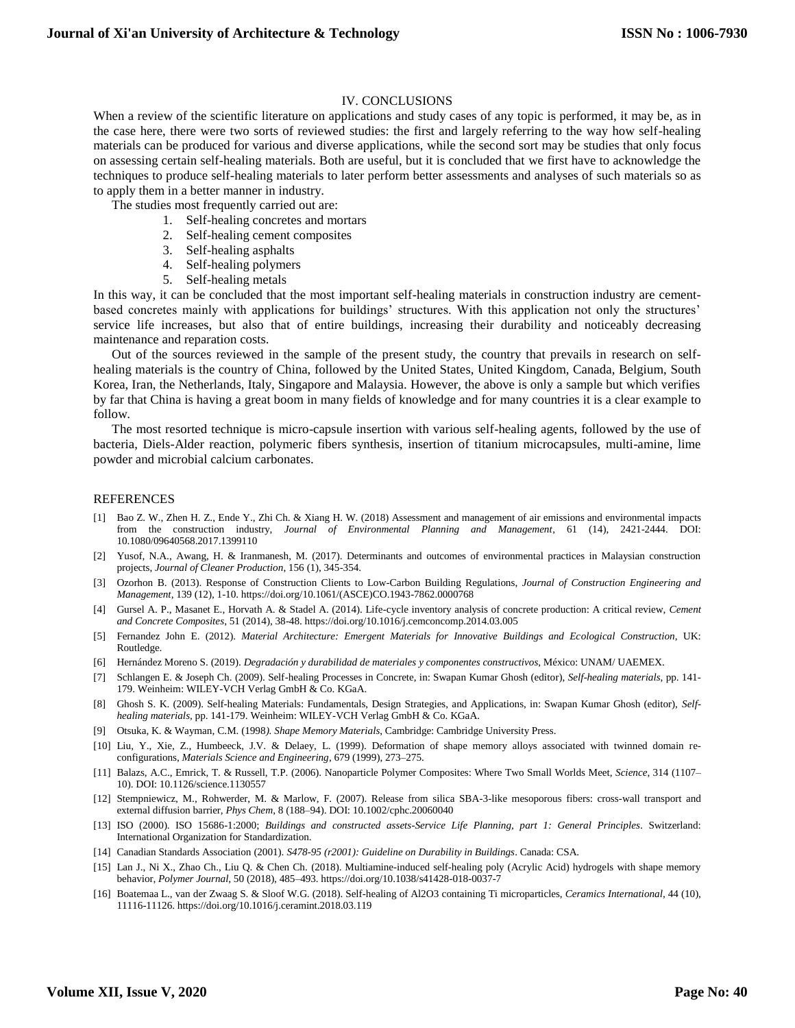# IV. CONCLUSIONS

When a review of the scientific literature on applications and study cases of any topic is performed, it may be, as in the case here, there were two sorts of reviewed studies: the first and largely referring to the way how self-healing materials can be produced for various and diverse applications, while the second sort may be studies that only focus on assessing certain self-healing materials. Both are useful, but it is concluded that we first have to acknowledge the techniques to produce self-healing materials to later perform better assessments and analyses of such materials so as to apply them in a better manner in industry.

The studies most frequently carried out are:

- 1. Self-healing concretes and mortars
- 2. Self-healing cement composites
- 3. Self-healing asphalts
- 4. Self-healing polymers
- 5. Self-healing metals

In this way, it can be concluded that the most important self-healing materials in construction industry are cementbased concretes mainly with applications for buildings' structures. With this application not only the structures' service life increases, but also that of entire buildings, increasing their durability and noticeably decreasing maintenance and reparation costs.

Out of the sources reviewed in the sample of the present study, the country that prevails in research on selfhealing materials is the country of China, followed by the United States, United Kingdom, Canada, Belgium, South Korea, Iran, the Netherlands, Italy, Singapore and Malaysia. However, the above is only a sample but which verifies by far that China is having a great boom in many fields of knowledge and for many countries it is a clear example to follow.

The most resorted technique is micro-capsule insertion with various self-healing agents, followed by the use of bacteria, Diels-Alder reaction, polymeric fibers synthesis, insertion of titanium microcapsules, multi-amine, lime powder and microbial calcium carbonates.

#### REFERENCES

- [1] Bao Z. W., Zhen H. Z., Ende Y., Zhi Ch. & Xiang H. W. (2018) Assessment and management of air emissions and environmental impacts from the construction industry, *Journal of Environmental Planning and Management*, 61 (14), 2421-2444. DOI: 10.1080/09640568.2017.1399110
- [2] Yusof, N.A., Awang, H. & Iranmanesh, M. (2017). Determinants and outcomes of environmental practices in Malaysian construction projects, *Journal of Cleaner Production*, 156 (1), 345-354.
- [3] Ozorhon B. (2013). Response of Construction Clients to Low-Carbon Building Regulations, *Journal of Construction Engineering and Management*, 139 (12), 1-10. https://doi.org/10.1061/(ASCE)CO.1943-7862.0000768
- [4] Gursel A. P., Masanet E., Horvath A. & Stadel A. (2014). Life-cycle inventory analysis of concrete production: A critical review, *Cement and Concrete Composites*, 51 (2014), 38-48. https://doi.org/10.1016/j.cemconcomp.2014.03.005
- [5] Fernandez John E. (2012). *Material Architecture: Emergent Materials for Innovative Buildings and Ecological Construction*, UK: Routledge.
- [6] Hernández Moreno S. (2019). *Degradación y durabilidad de materiales y componentes constructivos*, México: UNAM/ UAEMEX.
- [7] Schlangen E. & Joseph Ch. (2009). Self-healing Processes in Concrete, in: Swapan Kumar Ghosh (editor), *Self-healing materials*, pp. 141- 179. Weinheim: WILEY-VCH Verlag GmbH & Co. KGaA.
- [8] Ghosh S. K. (2009). Self-healing Materials: Fundamentals, Design Strategies, and Applications, in: Swapan Kumar Ghosh (editor), *Selfhealing materials*, pp. 141-179. Weinheim: WILEY-VCH Verlag GmbH & Co. KGaA.
- [9] Otsuka, K. & Wayman, C.M. (1998*). Shape Memory Materials*, Cambridge: Cambridge University Press.
- [10] Liu, Y., Xie, Z., Humbeeck, J.V. & Delaey, L. (1999). Deformation of shape memory alloys associated with twinned domain reconfigurations, *Materials Science and Engineering*, 679 (1999), 273–275.
- [11] Balazs, A.C., Emrick, T. & Russell, T.P. (2006). Nanoparticle Polymer Composites: Where Two Small Worlds Meet, *Science*, 314 (1107– 10). DOI: 10.1126/science.1130557
- [12] Stempniewicz, M., Rohwerder, M. & Marlow, F. (2007). Release from silica SBA-3-like mesoporous fibers: cross-wall transport and external diffusion barrier, *Phys Chem*, 8 (188–94). DOI: 10.1002/cphc.20060040
- [13] ISO (2000). ISO 15686-1:2000; *Buildings and constructed assets-Service Life Planning, part 1: General Principles*. Switzerland: International Organization for Standardization.
- [14] Canadian Standards Association (2001). *S478-95 (r2001): Guideline on Durability in Buildings*. Canada: CSA.
- [15] Lan J., Ni X., Zhao Ch., Liu Q. & Chen Ch. (2018). Multiamine-induced self-healing poly (Acrylic Acid) hydrogels with shape memory behavior, *Polymer Journal*, 50 (2018), 485–493. https://doi.org/10.1038/s41428-018-0037-7
- [16] Boatemaa L., van der Zwaag S. & Sloof W.G. (2018). Self-healing of Al2O3 containing Ti microparticles, *Ceramics International*, 44 (10), 11116-11126. https://doi.org/10.1016/j.ceramint.2018.03.119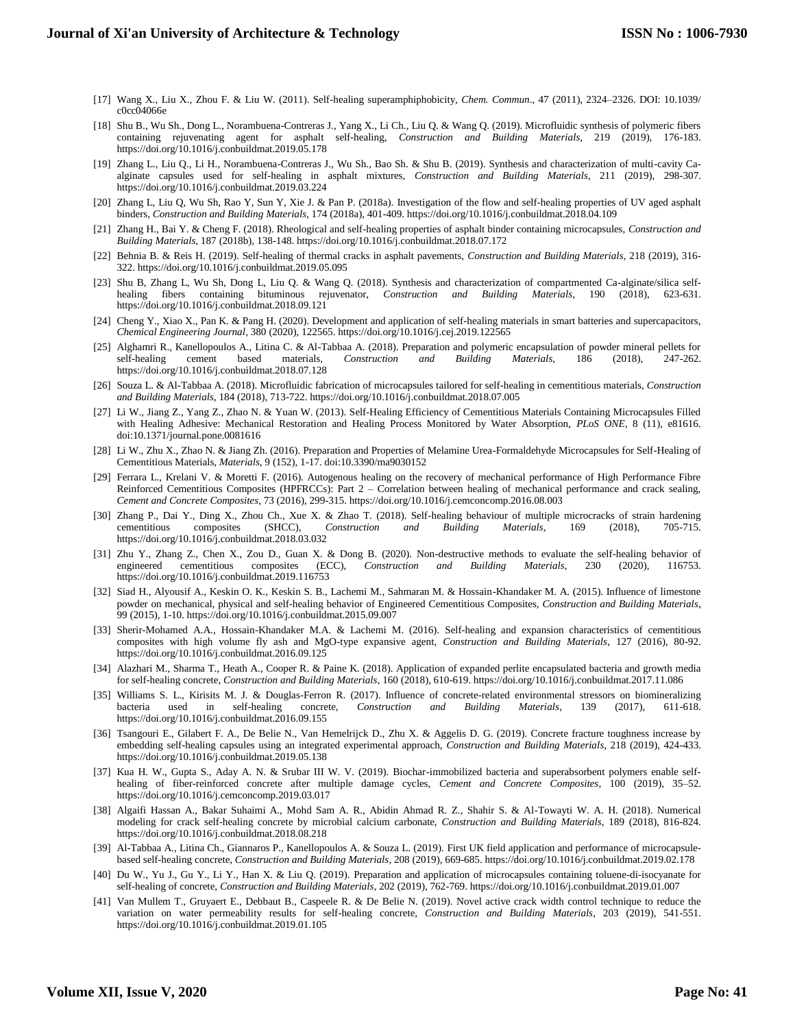- [17] Wang X., Liu X., Zhou F. & Liu W. (2011). Self-healing superamphiphobicity, *Chem. Commun*., 47 (2011), 2324–2326. DOI: 10.1039/ c0cc04066e
- [18] Shu B., Wu Sh., Dong L., Norambuena-Contreras J., Yang X., Li Ch., Liu Q. & Wang Q. (2019). Microfluidic synthesis of polymeric fibers containing rejuvenating agent for asphalt self-healing, *Construction and Building Materials*, 219 (2019), 176-183. https://doi.org/10.1016/j.conbuildmat.2019.05.178
- [19] Zhang L., Liu Q., Li H., Norambuena-Contreras J., Wu Sh., Bao Sh. & Shu B. (2019). Synthesis and characterization of multi-cavity Caalginate capsules used for self-healing in asphalt mixtures, *Construction and Building Materials*, 211 (2019), 298-307. https://doi.org/10.1016/j.conbuildmat.2019.03.224
- [20] Zhang L, Liu Q, Wu Sh, Rao Y, Sun Y, Xie J. & Pan P. (2018a). Investigation of the flow and self-healing properties of UV aged asphalt binders*, Construction and Building Materials*, 174 (2018a), 401-409. https://doi.org/10.1016/j.conbuildmat.2018.04.109
- [21] Zhang H., Bai Y. & Cheng F. (2018). Rheological and self-healing properties of asphalt binder containing microcapsules, *Construction and Building Materials,* 187 (2018b), 138-148. https://doi.org/10.1016/j.conbuildmat.2018.07.172
- [22] Behnia B. & Reis H. (2019). Self-healing of thermal cracks in asphalt pavements, *Construction and Building Materials*, 218 (2019), 316- 322. https://doi.org/10.1016/j.conbuildmat.2019.05.095
- [23] Shu B, Zhang L, Wu Sh, Dong L, Liu Q. & Wang Q. (2018). Synthesis and characterization of compartmented Ca-alginate/silica selfhealing fibers containing bituminous rejuvenator, *Construction and Building Materials*, 190 (2018), 623-631. https://doi.org/10.1016/j.conbuildmat.2018.09.121
- [24] Cheng Y., Xiao X., Pan K. & Pang H. (2020). Development and application of self-healing materials in smart batteries and supercapacitors, *Chemical Engineering Journal*, 380 (2020), 122565. https://doi.org/10.1016/j.cej.2019.122565
- [25] Alghamri R., Kanellopoulos A., Litina C. & Al-Tabbaa A. (2018). Preparation and polymeric encapsulation of powder mineral pellets for self-healing cement based materials, *Construction and Building Materials*, 186 (2018), 247-262. https://doi.org/10.1016/j.conbuildmat.2018.07.128
- [26] Souza L. & Al-Tabbaa A. (2018). Microfluidic fabrication of microcapsules tailored for self-healing in cementitious materials, *Construction and Building Materials,* 184 (2018), 713-722. https://doi.org/10.1016/j.conbuildmat.2018.07.005
- [27] Li W., Jiang Z., Yang Z., Zhao N. & Yuan W. (2013). Self-Healing Efficiency of Cementitious Materials Containing Microcapsules Filled with Healing Adhesive: Mechanical Restoration and Healing Process Monitored by Water Absorption, *PLoS ONE*, 8 (11), e81616. doi:10.1371/journal.pone.0081616
- [28] Li W., Zhu X., Zhao N. & Jiang Zh. (2016). Preparation and Properties of Melamine Urea-Formaldehyde Microcapsules for Self-Healing of Cementitious Materials, *Materials*, 9 (152), 1-17. doi:10.3390/ma9030152
- [29] Ferrara L., Krelani V. & Moretti F. (2016). Autogenous healing on the recovery of mechanical performance of High Performance Fibre Reinforced Cementitious Composites (HPFRCCs): Part 2 – Correlation between healing of mechanical performance and crack sealing, *Cement and Concrete Composites*, 73 (2016), 299-315. https://doi.org/10.1016/j.cemconcomp.2016.08.003
- [30] Zhang P., Dai Y., Ding X., Zhou Ch., Xue X. & Zhao T. (2018). Self-healing behaviour of multiple microcracks of strain hardening cementitious composites (SHCC), *Construction and Building Materials,* 169 (2018), 705-715. https://doi.org/10.1016/j.conbuildmat.2018.03.032
- [31] Zhu Y., Zhang Z., Chen X., Zou D., Guan X. & Dong B. (2020). Non-destructive methods to evaluate the self-healing behavior of engineered cementitious composites (ECC), *Construction and Building Materials*, 230 (2020), 116753. https://doi.org/10.1016/j.conbuildmat.2019.116753
- [32] Siad H., Alyousif A., Keskin O. K., Keskin S. B., Lachemi M., Sahmaran M. & Hossain-Khandaker M. A. (2015). Influence of limestone powder on mechanical, physical and self-healing behavior of Engineered Cementitious Composites, *Construction and Building Materials*, 99 (2015), 1-10. https://doi.org/10.1016/j.conbuildmat.2015.09.007
- [33] Sherir-Mohamed A.A., Hossain-Khandaker M.A. & Lachemi M. (2016). Self-healing and expansion characteristics of cementitious composites with high volume fly ash and MgO-type expansive agent, *Construction and Building Materials*, 127 (2016), 80-92. https://doi.org/10.1016/j.conbuildmat.2016.09.125
- [34] Alazhari M., Sharma T., Heath A., Cooper R. & Paine K. (2018). Application of expanded perlite encapsulated bacteria and growth media for self-healing concrete, *Construction and Building Materials*, 160 (2018), 610-619. https://doi.org/10.1016/j.conbuildmat.2017.11.086
- [35] Williams S. L., Kirisits M. J. & Douglas-Ferron R. (2017). Influence of concrete-related environmental stressors on biomineralizing bacteria used in self-healing concrete, *Construction and Building Materials*, 139 (2017), 611-618. https://doi.org/10.1016/j.conbuildmat.2016.09.155
- [36] Tsangouri E., Gilabert F. A., De Belie N., Van Hemelrijck D., Zhu X. & Aggelis D. G. (2019). Concrete fracture toughness increase by embedding self-healing capsules using an integrated experimental approach, *Construction and Building Materials*, 218 (2019), 424-433. https://doi.org/10.1016/j.conbuildmat.2019.05.138
- [37] Kua H. W., Gupta S., Aday A. N. & Srubar III W. V. (2019). Biochar-immobilized bacteria and superabsorbent polymers enable selfhealing of fiber-reinforced concrete after multiple damage cycles, *Cement and Concrete Composites*, 100 (2019), 35–52. https://doi.org/10.1016/j.cemconcomp.2019.03.017
- [38] Algaifi Hassan A., Bakar Suhaimi A., Mohd Sam A. R., Abidin Ahmad R. Z., Shahir S. & Al-Towayti W. A. H. (2018). Numerical modeling for crack self-healing concrete by microbial calcium carbonate, *Construction and Building Materials*, 189 (2018), 816-824. https://doi.org/10.1016/j.conbuildmat.2018.08.218
- [39] Al-Tabbaa A., Litina Ch., Giannaros P., Kanellopoulos A. & Souza L. (2019). First UK field application and performance of microcapsulebased self-healing concrete, *Construction and Building Materials*, 208 (2019), 669-685. https://doi.org/10.1016/j.conbuildmat.2019.02.178
- [40] Du W., Yu J., Gu Y., Li Y., Han X. & Liu Q. (2019). Preparation and application of microcapsules containing toluene-di-isocyanate for self-healing of concrete, *Construction and Building Materials*, 202 (2019), 762-769. https://doi.org/10.1016/j.conbuildmat.2019.01.007
- [41] Van Mullem T., Gruyaert E., Debbaut B., Caspeele R. & De Belie N. (2019). Novel active crack width control technique to reduce the variation on water permeability results for self-healing concrete, *Construction and Building Materials*, 203 (2019), 541-551. https://doi.org/10.1016/j.conbuildmat.2019.01.105